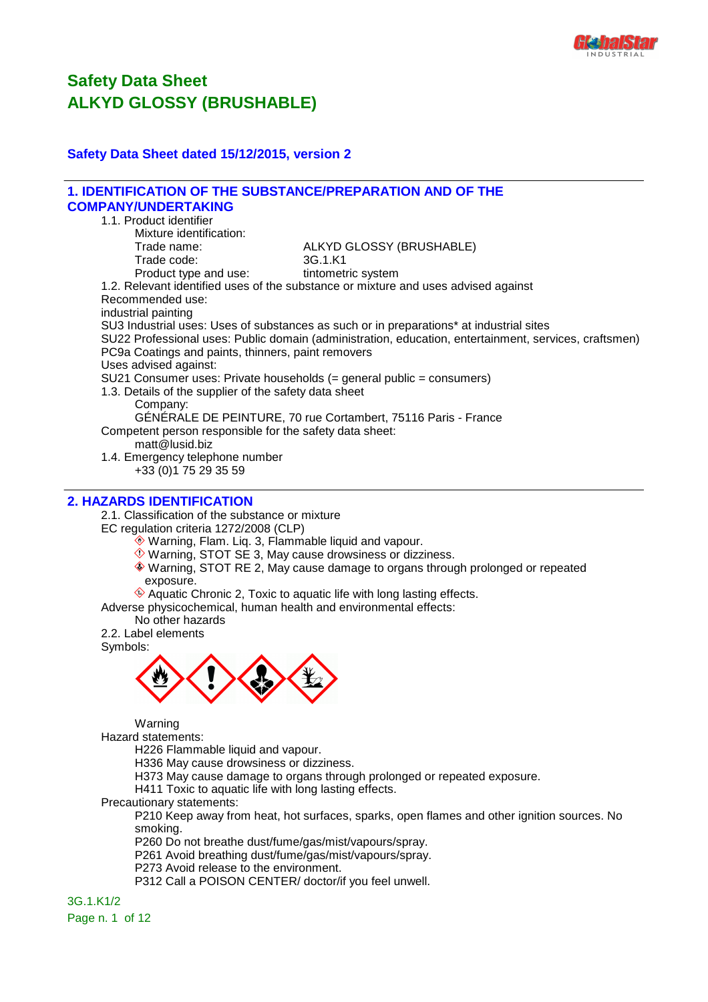

### **Safety Data Sheet dated 15/12/2015, version 2**

#### **1. IDENTIFICATION OF THE SUBSTANCE/PREPARATION AND OF THE COMPANY/UNDERTAKING** 1.1. Product identifier Mixture identification: Trade name: ALKYD GLOSSY (BRUSHABLE) Trade code: 3G.1.K1 Product type and use: tintometric system 1.2. Relevant identified uses of the substance or mixture and uses advised against Recommended use: industrial painting SU3 Industrial uses: Uses of substances as such or in preparations\* at industrial sites SU22 Professional uses: Public domain (administration, education, entertainment, services, craftsmen) PC9a Coatings and paints, thinners, paint removers Uses advised against: SU21 Consumer uses: Private households (= general public = consumers) 1.3. Details of the supplier of the safety data sheet Company: GÉNÉRALE DE PEINTURE, 70 rue Cortambert, 75116 Paris - France Competent person responsible for the safety data sheet: matt@lusid.biz 1.4. Emergency telephone number +33 (0)1 75 29 35 59

## **2. HAZARDS IDENTIFICATION**

2.1. Classification of the substance or mixture

EC regulation criteria 1272/2008 (CLP)

- Warning, Flam. Liq. 3, Flammable liquid and vapour.
- $\Diamond$  Warning, STOT SE 3, May cause drowsiness or dizziness.
- Warning, STOT RE 2, May cause damage to organs through prolonged or repeated exposure.
- $\hat{\textcircled{}}$  Aquatic Chronic 2. Toxic to aquatic life with long lasting effects.

Adverse physicochemical, human health and environmental effects:

No other hazards

2.2. Label elements

Symbols:



Warning

Hazard statements:

H226 Flammable liquid and vapour.

H336 May cause drowsiness or dizziness.

H373 May cause damage to organs through prolonged or repeated exposure.

H411 Toxic to aquatic life with long lasting effects.

Precautionary statements:

P210 Keep away from heat, hot surfaces, sparks, open flames and other ignition sources. No smoking.

P260 Do not breathe dust/fume/gas/mist/vapours/spray.

P261 Avoid breathing dust/fume/gas/mist/vapours/spray.

P273 Avoid release to the environment.

P312 Call a POISON CENTER/ doctor/if you feel unwell.

3G.1.K1/2 Page n. 1 of 12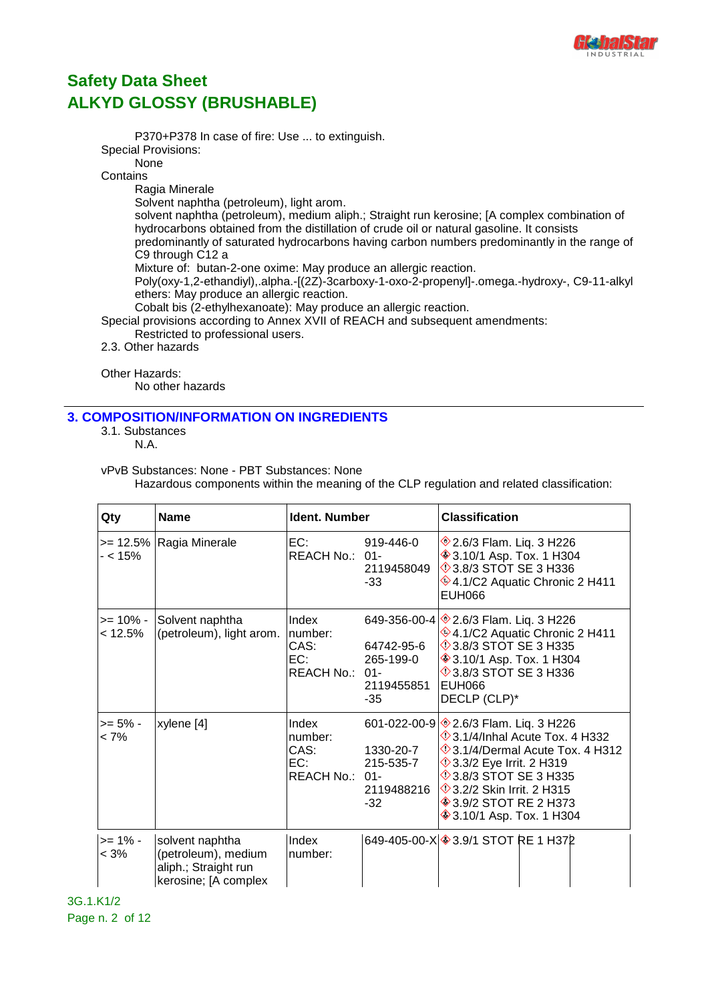

P370+P378 In case of fire: Use ... to extinguish. Special Provisions: None **Contains** Ragia Minerale Solvent naphtha (petroleum), light arom. solvent naphtha (petroleum), medium aliph.; Straight run kerosine; [A complex combination of hydrocarbons obtained from the distillation of crude oil or natural gasoline. It consists predominantly of saturated hydrocarbons having carbon numbers predominantly in the range of C9 through C12 a Mixture of: butan-2-one oxime: May produce an allergic reaction. Poly(oxy-1,2-ethandiyl),.alpha.-[(2Z)-3carboxy-1-oxo-2-propenyl]-.omega.-hydroxy-, C9-11-alkyl ethers: May produce an allergic reaction. Cobalt bis (2-ethylhexanoate): May produce an allergic reaction. Special provisions according to Annex XVII of REACH and subsequent amendments: Restricted to professional users. 2.3. Other hazards

Other Hazards:

No other hazards

### **3. COMPOSITION/INFORMATION ON INGREDIENTS**

3.1. Substances

N.A.

vPvB Substances: None - PBT Substances: None

Hazardous components within the meaning of the CLP regulation and related classification:

| Qty                   | <b>Name</b>                                                                            | Ident. Number                                     |                                                               | <b>Classification</b>                                                                                                                                                                                                                                                                                              |  |
|-----------------------|----------------------------------------------------------------------------------------|---------------------------------------------------|---------------------------------------------------------------|--------------------------------------------------------------------------------------------------------------------------------------------------------------------------------------------------------------------------------------------------------------------------------------------------------------------|--|
| - < 15%               | >= 12.5%   Ragia Minerale                                                              | EC:<br>REACH No.: 01-                             | 919-446-0<br>2119458049<br>$-33$                              | ◈2.6/3 Flam. Liq. 3 H226<br><b>♦ 3.10/1 Asp. Tox. 1 H304</b><br>$\Diamond$ 3.8/3 STOT SE 3 H336<br>♦4.1/C2 Aquatic Chronic 2 H411<br><b>EUH066</b>                                                                                                                                                                 |  |
| >= 10% -<br>< 12.5%   | Solvent naphtha<br>(petroleum), light arom.                                            | Index<br>number:<br>CAS:<br>EC:<br>REACH No.: 01- | 64742-95-6<br>265-199-0<br>2119455851<br>-35                  | 649-356-00-4 $\otimes$ 2.6/3 Flam. Liq. 3 H226<br>♦4.1/C2 Aquatic Chronic 2 H411<br><b>13.8/3 STOT SE 3 H335</b><br><b>♦ 3.10/1 Asp. Tox. 1 H304</b><br><b>13.8/3 STOT SE 3 H336</b><br>EUH066<br>DECLP (CLP)*                                                                                                     |  |
| >= 5% -<br>$< 7\%$    | xylene [4]                                                                             | Index<br>number:<br>CAS:<br>EC:<br>REACH No.: 01- | 601-022-00-9<br>1330-20-7<br>215-535-7<br>2119488216<br>$-32$ | <b><sup>◈</sup>2.6/3 Flam. Liq. 3 H226</b><br>$\Diamond$ 3.1/4/Inhal Acute Tox. 4 H332<br>$\Diamond$ 3.1/4/Dermal Acute Tox. 4 H312<br><b>12 3.3/2 Eye Irrit. 2 H319</b><br><b>13.8/3 STOT SE 3 H335</b><br><b>1</b> 3.2/2 Skin Irrit. 2 H315<br><b>♦ 3.9/2 STOT RE 2 H373</b><br><b>♦ 3.10/1 Asp. Tox. 1 H304</b> |  |
| $>= 1\% -$<br>$< 3\%$ | solvent naphtha<br>(petroleum), medium<br>aliph.; Straight run<br>kerosine; [A complex | Index<br>number:                                  |                                                               | 649-405-00-X 3.9/1 STOT RE 1 H372                                                                                                                                                                                                                                                                                  |  |

3G.1.K1/2 Page n. 2 of 12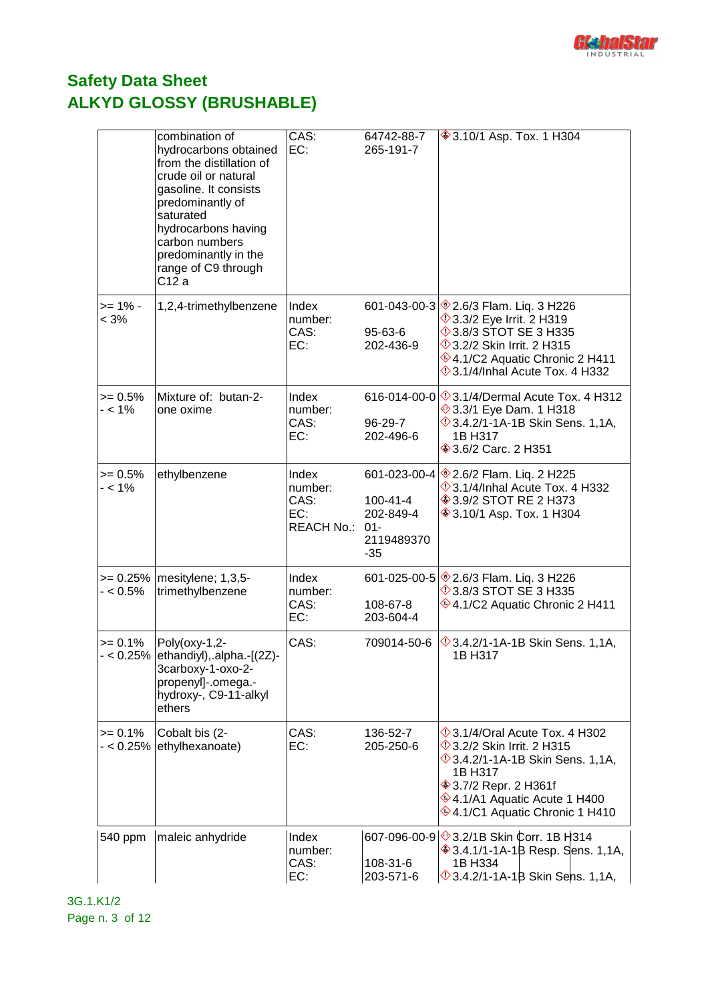

|                           | combination of<br>hydrocarbons obtained<br>from the distillation of<br>crude oil or natural<br>gasoline. It consists<br>predominantly of<br>saturated<br>hydrocarbons having<br>carbon numbers<br>predominantly in the<br>range of C9 through<br>C12 a | CAS:<br>EC:                                   | 64742-88-7<br>265-191-7                                              | <b>♦ 3.10/1 Asp. Tox. 1 H304</b>                                                                                                                                                                                                            |
|---------------------------|--------------------------------------------------------------------------------------------------------------------------------------------------------------------------------------------------------------------------------------------------------|-----------------------------------------------|----------------------------------------------------------------------|---------------------------------------------------------------------------------------------------------------------------------------------------------------------------------------------------------------------------------------------|
| $>= 1\% -$<br>< 3%        | 1,2,4-trimethylbenzene                                                                                                                                                                                                                                 | Index<br>number:<br>CAS:<br>EC:               | 95-63-6<br>202-436-9                                                 | 601-043-00-3 \$2.6/3 Flam. Liq. 3 H226<br>$\Diamond$ 3.3/2 Eye Irrit. 2 H319<br>$\Diamond$ 3.8/3 STOT SE 3 H335<br>$\Diamond$ 3.2/2 Skin Irrit. 2 H315<br>♦4.1/C2 Aquatic Chronic 2 H411<br>$\Diamond$ 3.1/4/Inhal Acute Tox. 4 H332        |
| $>= 0.5%$<br>- < 1%       | Mixture of: butan-2-<br>one oxime                                                                                                                                                                                                                      | Index<br>number:<br>CAS:<br>EC:               | 96-29-7<br>202-496-6                                                 | 616-014-00-0 $\otimes$ 3.1/4/Dermal Acute Tox. 4 H312<br>→ 3.3/1 Eye Dam. 1 H318<br>$\Diamond$ 3.4.2/1-1A-1B Skin Sens. 1,1A,<br>1B H317<br><b>♦ 3.6/2 Carc. 2 H351</b>                                                                     |
| $>= 0.5%$<br>$- < 1\%$    | ethylbenzene                                                                                                                                                                                                                                           | Index<br>number:<br>CAS:<br>EC:<br>REACH No.: | 601-023-00-4<br>100-41-4<br>202-849-4<br>$01 -$<br>2119489370<br>-35 | <b>♦ 2.6/2 Flam. Lig. 2 H225</b><br>$\Diamond$ 3.1/4/Inhal Acute Tox. 4 H332<br><b>♦ 3.9/2 STOT RE 2 H373</b><br><b>♦ 3.10/1 Asp. Tox. 1 H304</b>                                                                                           |
| $- < 0.5\%$               | $>= 0.25\%$   mesitylene; 1,3,5-<br>trimethylbenzene                                                                                                                                                                                                   | Index<br>number:<br>CAS:<br>EC:               | $601 - 025 - 00 - 5$<br>108-67-8<br>203-604-4                        | <b><sup>◈</sup>2.6/3 Flam. Liq. 3 H226</b><br>$\lozenge$ 3.8/3 STOT SE 3 H335<br>$\otimes$ 4.1/C2 Aquatic Chronic 2 H411                                                                                                                    |
| $>= 0.1%$                 | Poly(oxy-1,2-<br>$-$ < 0.25% $ $ ethandiyl $ $ , alpha.- $[2Z]$ -<br>3carboxy-1-oxo-2-<br>propenyl]-.omega.-<br>hydroxy-, C9-11-alkyl<br>ethers                                                                                                        | CAS:                                          | 709014-50-6                                                          | $\Diamond$ 3.4.2/1-1A-1B Skin Sens. 1,1A,<br>1B H317                                                                                                                                                                                        |
| $>= 0.1%$<br>$- < 0.25\%$ | Cobalt bis (2-<br>ethylhexanoate)                                                                                                                                                                                                                      | CAS:<br>EC:                                   | 136-52-7<br>205-250-6                                                | $\Diamond$ 3.1/4/Oral Acute Tox. 4 H302<br>$\Diamond$ 3.2/2 Skin Irrit. 2 H315<br><b>1,14, 3.4.2/1-1A-1B Skin Sens. 1,14</b> ,<br>1B H317<br><b>♦ 3.7/2 Repr. 2 H361f</b><br>♦4.1/A1 Aquatic Acute 1 H400<br>♦4.1/C1 Aquatic Chronic 1 H410 |
| 540 ppm                   | maleic anhydride                                                                                                                                                                                                                                       | Index<br>number:<br>CAS:<br>EC:               | 108-31-6<br>203-571-6                                                | 607-096-00-9 3.2/1B Skin Corr. 1B H314<br><b>♦ 3.4.1/1-1A-1B Resp. Sens. 1,1A,</b><br>1B H334<br>$\Diamond$ 3.4.2/1-1A-1B Skin Sens. 1,1A,                                                                                                  |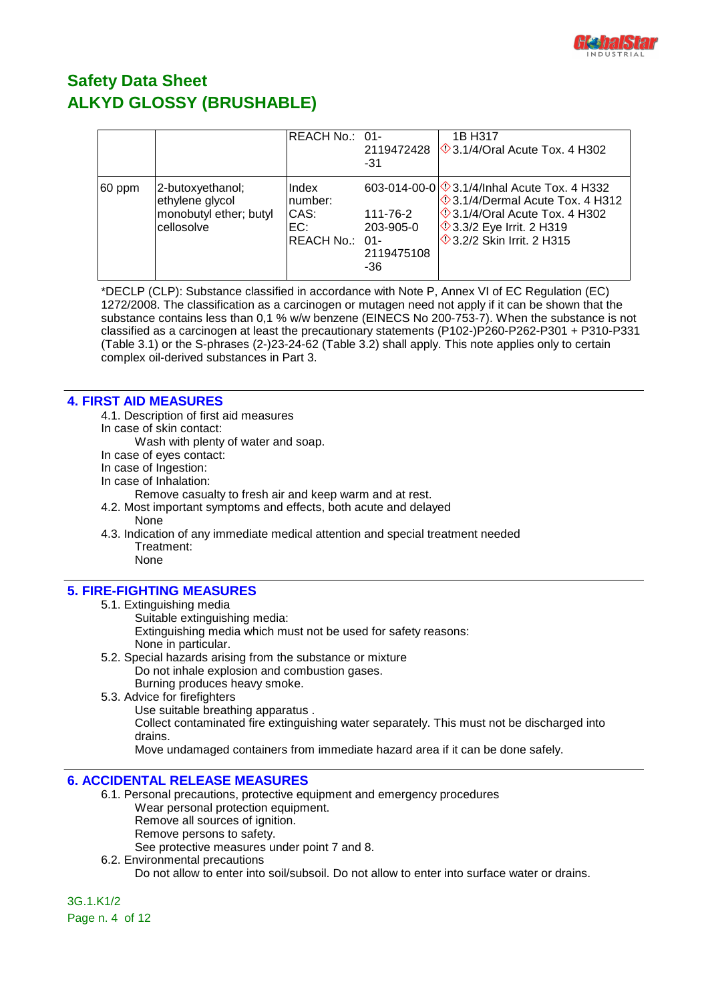

|        |                                                                             | REACH No.: 01-                                    | -31                                        | 1B H317<br>2119472428 $\Diamond$ 3.1/4/Oral Acute Tox, 4 H302                                                                                                                                            |
|--------|-----------------------------------------------------------------------------|---------------------------------------------------|--------------------------------------------|----------------------------------------------------------------------------------------------------------------------------------------------------------------------------------------------------------|
| 60 ppm | 2-butoxyethanol;<br>ethylene glycol<br>monobutyl ether; butyl<br>cellosolve | Index<br>number:<br>CAS:<br>EC:<br>REACH No.: 01- | 111-76-2<br>203-905-0<br>2119475108<br>-36 | 603-014-00-0 3.1/4/Inhal Acute Tox. 4 H332<br>$\circ$ 3.1/4/Dermal Acute Tox. 4 H312<br>$\Diamond$ 3.1/4/Oral Acute Tox. 4 H302<br><b>1</b> 3.3/2 Eye Irrit. 2 H319<br><b>1</b> 3.2/2 Skin Irrit, 2 H315 |

\*DECLP (CLP): Substance classified in accordance with Note P, Annex VI of EC Regulation (EC) 1272/2008. The classification as a carcinogen or mutagen need not apply if it can be shown that the substance contains less than 0,1 % w/w benzene (EINECS No 200-753-7). When the substance is not classified as a carcinogen at least the precautionary statements (P102-)P260-P262-P301 + P310-P331 (Table 3.1) or the S-phrases (2-)23-24-62 (Table 3.2) shall apply. This note applies only to certain complex oil-derived substances in Part 3.

### **4. FIRST AID MEASURES**

- 4.1. Description of first aid measures
- In case of skin contact:
	- Wash with plenty of water and soap.
- In case of eyes contact:
- In case of Ingestion:
- In case of Inhalation:
	- Remove casualty to fresh air and keep warm and at rest.
- 4.2. Most important symptoms and effects, both acute and delayed None
- 4.3. Indication of any immediate medical attention and special treatment needed Treatment:

## None

### **5. FIRE-FIGHTING MEASURES**

- 5.1. Extinguishing media
	- Suitable extinguishing media:
		- Extinguishing media which must not be used for safety reasons: None in particular.
- 5.2. Special hazards arising from the substance or mixture Do not inhale explosion and combustion gases. Burning produces heavy smoke.
- 5.3. Advice for firefighters
	- Use suitable breathing apparatus .

Collect contaminated fire extinguishing water separately. This must not be discharged into drains.

Move undamaged containers from immediate hazard area if it can be done safely.

### **6. ACCIDENTAL RELEASE MEASURES**

- 6.1. Personal precautions, protective equipment and emergency procedures Wear personal protection equipment. Remove all sources of ignition. Remove persons to safety.
	- See protective measures under point 7 and 8.
- 6.2. Environmental precautions Do not allow to enter into soil/subsoil. Do not allow to enter into surface water or drains.

3G.1.K1/2 Page n. 4 of 12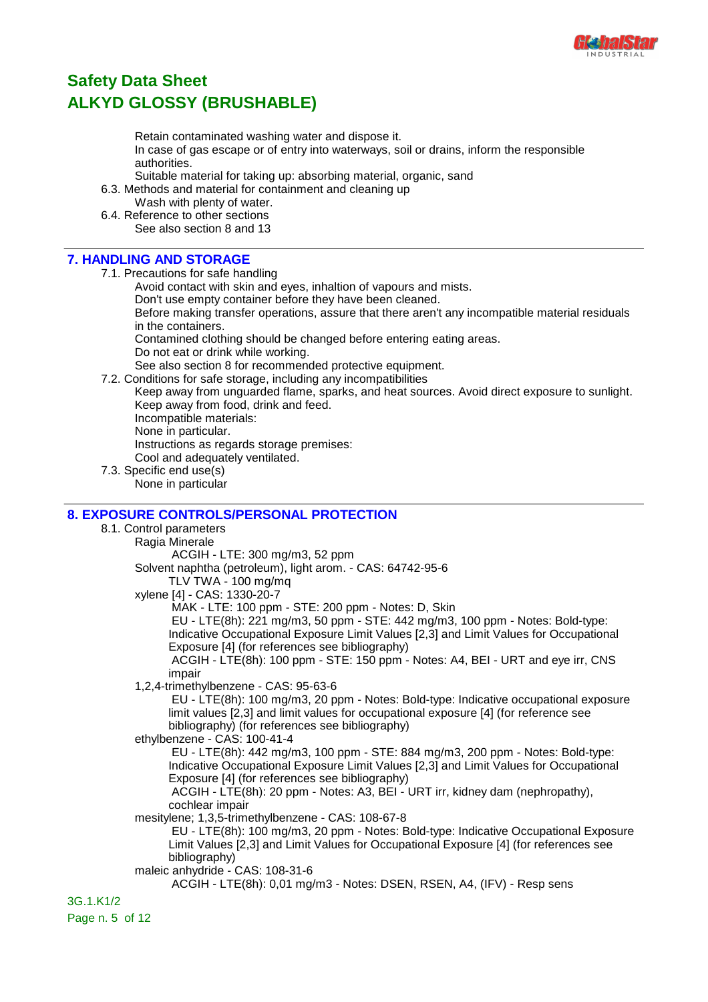

Retain contaminated washing water and dispose it.

In case of gas escape or of entry into waterways, soil or drains, inform the responsible authorities.

Suitable material for taking up: absorbing material, organic, sand

- 6.3. Methods and material for containment and cleaning up
- Wash with plenty of water. 6.4. Reference to other sections

See also section 8 and 13

### **7. HANDLING AND STORAGE**

- 7.1. Precautions for safe handling
	- Avoid contact with skin and eyes, inhaltion of vapours and mists.
	- Don't use empty container before they have been cleaned.

Before making transfer operations, assure that there aren't any incompatible material residuals in the containers.

Contamined clothing should be changed before entering eating areas.

Do not eat or drink while working.

See also section 8 for recommended protective equipment.

7.2. Conditions for safe storage, including any incompatibilities

Keep away from unguarded flame, sparks, and heat sources. Avoid direct exposure to sunlight. Keep away from food, drink and feed. Incompatible materials:

None in particular.

Instructions as regards storage premises:

Cool and adequately ventilated.

7.3. Specific end use(s) None in particular

## **8. EXPOSURE CONTROLS/PERSONAL PROTECTION**

8.1. Control parameters

Ragia Minerale

ACGIH - LTE: 300 mg/m3, 52 ppm

Solvent naphtha (petroleum), light arom. - CAS: 64742-95-6

TLV TWA - 100 mg/mq

xylene [4] - CAS: 1330-20-7

MAK - LTE: 100 ppm - STE: 200 ppm - Notes: D, Skin

EU - LTE(8h): 221 mg/m3, 50 ppm - STE: 442 mg/m3, 100 ppm - Notes: Bold-type:

Indicative Occupational Exposure Limit Values [2,3] and Limit Values for Occupational Exposure [4] (for references see bibliography)

 ACGIH - LTE(8h): 100 ppm - STE: 150 ppm - Notes: A4, BEI - URT and eye irr, CNS impair

1,2,4-trimethylbenzene - CAS: 95-63-6

 EU - LTE(8h): 100 mg/m3, 20 ppm - Notes: Bold-type: Indicative occupational exposure limit values [2,3] and limit values for occupational exposure [4] (for reference see bibliography) (for references see bibliography)

ethylbenzene - CAS: 100-41-4

 EU - LTE(8h): 442 mg/m3, 100 ppm - STE: 884 mg/m3, 200 ppm - Notes: Bold-type: Indicative Occupational Exposure Limit Values [2,3] and Limit Values for Occupational Exposure [4] (for references see bibliography)

 ACGIH - LTE(8h): 20 ppm - Notes: A3, BEI - URT irr, kidney dam (nephropathy), cochlear impair

mesitylene; 1,3,5-trimethylbenzene - CAS: 108-67-8

 EU - LTE(8h): 100 mg/m3, 20 ppm - Notes: Bold-type: Indicative Occupational Exposure Limit Values [2,3] and Limit Values for Occupational Exposure [4] (for references see bibliography)

maleic anhydride - CAS: 108-31-6

ACGIH - LTE(8h): 0,01 mg/m3 - Notes: DSEN, RSEN, A4, (IFV) - Resp sens

3G.1.K1/2 Page n. 5 of 12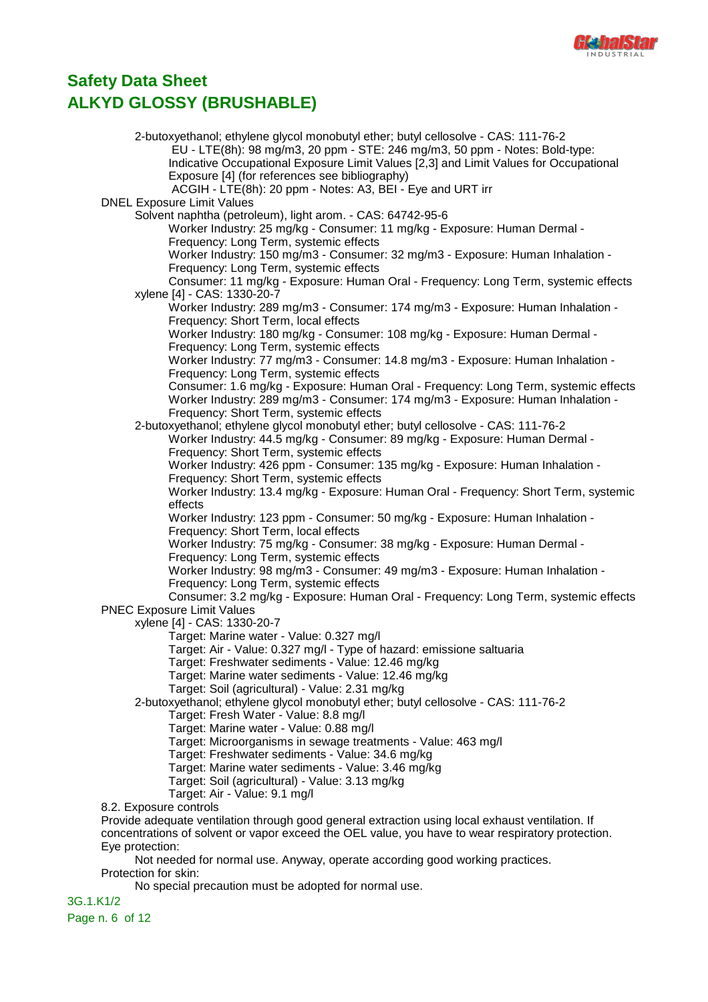

2-butoxyethanol; ethylene glycol monobutyl ether; butyl cellosolve - CAS: 111-76-2 EU - LTE(8h): 98 mg/m3, 20 ppm - STE: 246 mg/m3, 50 ppm - Notes: Bold-type: Indicative Occupational Exposure Limit Values [2,3] and Limit Values for Occupational Exposure [4] (for references see bibliography) ACGIH - LTE(8h): 20 ppm - Notes: A3, BEI - Eye and URT irr DNEL Exposure Limit Values Solvent naphtha (petroleum), light arom. - CAS: 64742-95-6 Worker Industry: 25 mg/kg - Consumer: 11 mg/kg - Exposure: Human Dermal - Frequency: Long Term, systemic effects Worker Industry: 150 mg/m3 - Consumer: 32 mg/m3 - Exposure: Human Inhalation - Frequency: Long Term, systemic effects Consumer: 11 mg/kg - Exposure: Human Oral - Frequency: Long Term, systemic effects xylene [4] - CAS: 1330-20-7 Worker Industry: 289 mg/m3 - Consumer: 174 mg/m3 - Exposure: Human Inhalation - Frequency: Short Term, local effects Worker Industry: 180 mg/kg - Consumer: 108 mg/kg - Exposure: Human Dermal - Frequency: Long Term, systemic effects Worker Industry: 77 mg/m3 - Consumer: 14.8 mg/m3 - Exposure: Human Inhalation - Frequency: Long Term, systemic effects Consumer: 1.6 mg/kg - Exposure: Human Oral - Frequency: Long Term, systemic effects Worker Industry: 289 mg/m3 - Consumer: 174 mg/m3 - Exposure: Human Inhalation - Frequency: Short Term, systemic effects 2-butoxyethanol; ethylene glycol monobutyl ether; butyl cellosolve - CAS: 111-76-2 Worker Industry: 44.5 mg/kg - Consumer: 89 mg/kg - Exposure: Human Dermal - Frequency: Short Term, systemic effects Worker Industry: 426 ppm - Consumer: 135 mg/kg - Exposure: Human Inhalation - Frequency: Short Term, systemic effects Worker Industry: 13.4 mg/kg - Exposure: Human Oral - Frequency: Short Term, systemic effects Worker Industry: 123 ppm - Consumer: 50 mg/kg - Exposure: Human Inhalation - Frequency: Short Term, local effects Worker Industry: 75 mg/kg - Consumer: 38 mg/kg - Exposure: Human Dermal - Frequency: Long Term, systemic effects Worker Industry: 98 mg/m3 - Consumer: 49 mg/m3 - Exposure: Human Inhalation - Frequency: Long Term, systemic effects Consumer: 3.2 mg/kg - Exposure: Human Oral - Frequency: Long Term, systemic effects PNEC Exposure Limit Values xylene [4] - CAS: 1330-20-7 Target: Marine water - Value: 0.327 mg/l Target: Air - Value: 0.327 mg/l - Type of hazard: emissione saltuaria Target: Freshwater sediments - Value: 12.46 mg/kg Target: Marine water sediments - Value: 12.46 mg/kg Target: Soil (agricultural) - Value: 2.31 mg/kg 2-butoxyethanol; ethylene glycol monobutyl ether; butyl cellosolve - CAS: 111-76-2 Target: Fresh Water - Value: 8.8 mg/l Target: Marine water - Value: 0.88 mg/l Target: Microorganisms in sewage treatments - Value: 463 mg/l Target: Freshwater sediments - Value: 34.6 mg/kg Target: Marine water sediments - Value: 3.46 mg/kg Target: Soil (agricultural) - Value: 3.13 mg/kg Target: Air - Value: 9.1 mg/l 8.2. Exposure controls Provide adequate ventilation through good general extraction using local exhaust ventilation. If concentrations of solvent or vapor exceed the OEL value, you have to wear respiratory protection. Eye protection: Not needed for normal use. Anyway, operate according good working practices. Protection for skin:

No special precaution must be adopted for normal use.

3G.1.K1/2 Page n. 6 of 12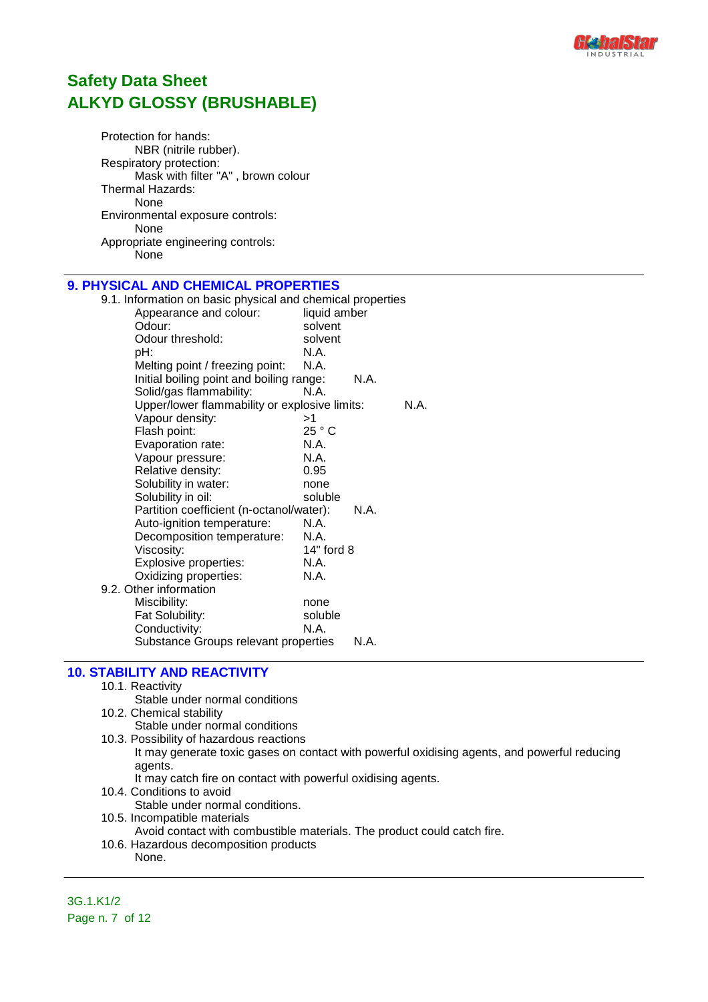

Protection for hands: NBR (nitrile rubber). Respiratory protection: Mask with filter "A" , brown colour Thermal Hazards: None Environmental exposure controls: None Appropriate engineering controls: .<br>None

## **9. PHYSICAL AND CHEMICAL PROPERTIES**

| 9.1. Information on basic physical and chemical properties |              |      |      |
|------------------------------------------------------------|--------------|------|------|
| Appearance and colour:                                     | liquid amber |      |      |
| Odour:                                                     | solvent      |      |      |
| Odour threshold:                                           | solvent      |      |      |
| pH:                                                        | N.A.         |      |      |
| Melting point / freezing point:                            | N.A.         |      |      |
| Initial boiling point and boiling range:                   |              | N.A. |      |
| Solid/gas flammability:                                    | N.A.         |      |      |
| Upper/lower flammability or explosive limits:              |              |      | N.A. |
| Vapour density:                                            | >1           |      |      |
| Flash point:                                               | 25 °C        |      |      |
| Evaporation rate:                                          | N.A.         |      |      |
| Vapour pressure:                                           | N.A.         |      |      |
| Relative density:                                          | 0.95         |      |      |
| Solubility in water:                                       | none         |      |      |
| Solubility in oil:                                         | soluble      |      |      |
| Partition coefficient (n-octanol/water):                   |              | N.A. |      |
| Auto-ignition temperature:                                 | N.A.         |      |      |
| Decomposition temperature:                                 | N.A.         |      |      |
| Viscosity:                                                 | 14" ford 8   |      |      |
| Explosive properties:                                      | N.A.         |      |      |
| Oxidizing properties:                                      | N.A.         |      |      |
| 9.2. Other information                                     |              |      |      |
| Miscibility:                                               | none         |      |      |
| Fat Solubility:                                            | soluble      |      |      |
| Conductivity:                                              | N.A.         |      |      |
| Substance Groups relevant properties                       |              | N.A. |      |

### **10. STABILITY AND REACTIVITY**

- 10.1. Reactivity
	- Stable under normal conditions
- 10.2. Chemical stability
	- Stable under normal conditions
- 10.3. Possibility of hazardous reactions
	- It may generate toxic gases on contact with powerful oxidising agents, and powerful reducing agents.
	- It may catch fire on contact with powerful oxidising agents.
- 10.4. Conditions to avoid
	- Stable under normal conditions.
- 10.5. Incompatible materials
	- Avoid contact with combustible materials. The product could catch fire.
- 10.6. Hazardous decomposition products None.

3G.1.K1/2 Page n. 7 of 12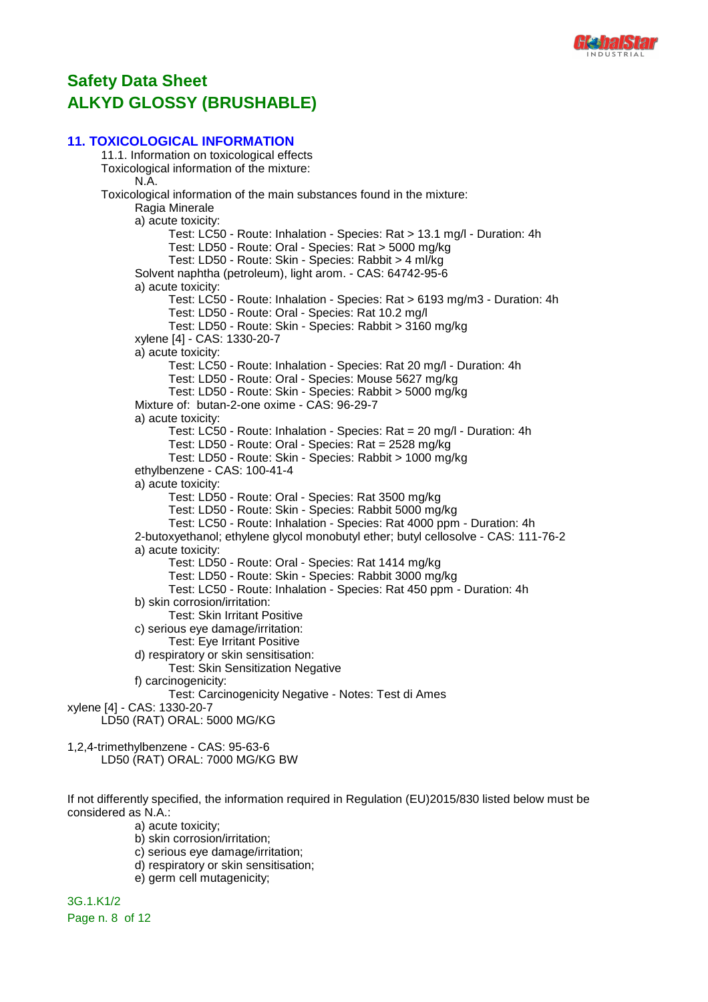

### **11. TOXICOLOGICAL INFORMATION**

11.1. Information on toxicological effects Toxicological information of the mixture: N.A. Toxicological information of the main substances found in the mixture: Ragia Minerale a) acute toxicity: Test: LC50 - Route: Inhalation - Species: Rat > 13.1 mg/l - Duration: 4h Test: LD50 - Route: Oral - Species: Rat > 5000 mg/kg Test: LD50 - Route: Skin - Species: Rabbit > 4 ml/kg Solvent naphtha (petroleum), light arom. - CAS: 64742-95-6 a) acute toxicity: Test: LC50 - Route: Inhalation - Species: Rat > 6193 mg/m3 - Duration: 4h Test: LD50 - Route: Oral - Species: Rat 10.2 mg/l Test: LD50 - Route: Skin - Species: Rabbit > 3160 mg/kg xylene [4] - CAS: 1330-20-7 a) acute toxicity: Test: LC50 - Route: Inhalation - Species: Rat 20 mg/l - Duration: 4h Test: LD50 - Route: Oral - Species: Mouse 5627 mg/kg Test: LD50 - Route: Skin - Species: Rabbit > 5000 mg/kg Mixture of: butan-2-one oxime - CAS: 96-29-7 a) acute toxicity: Test: LC50 - Route: Inhalation - Species: Rat = 20 mg/l - Duration: 4h Test: LD50 - Route: Oral - Species: Rat = 2528 mg/kg Test: LD50 - Route: Skin - Species: Rabbit > 1000 mg/kg ethylbenzene - CAS: 100-41-4 a) acute toxicity: Test: LD50 - Route: Oral - Species: Rat 3500 mg/kg Test: LD50 - Route: Skin - Species: Rabbit 5000 mg/kg Test: LC50 - Route: Inhalation - Species: Rat 4000 ppm - Duration: 4h 2-butoxyethanol; ethylene glycol monobutyl ether; butyl cellosolve - CAS: 111-76-2 a) acute toxicity: Test: LD50 - Route: Oral - Species: Rat 1414 mg/kg Test: LD50 - Route: Skin - Species: Rabbit 3000 mg/kg Test: LC50 - Route: Inhalation - Species: Rat 450 ppm - Duration: 4h b) skin corrosion/irritation: Test: Skin Irritant Positive c) serious eye damage/irritation: Test: Eye Irritant Positive d) respiratory or skin sensitisation: Test: Skin Sensitization Negative f) carcinogenicity: Test: Carcinogenicity Negative - Notes: Test di Ames xylene [4] - CAS: 1330-20-7 LD50 (RAT) ORAL: 5000 MG/KG 1,2,4-trimethylbenzene - CAS: 95-63-6 LD50 (RAT) ORAL: 7000 MG/KG BW

If not differently specified, the information required in Regulation (EU)2015/830 listed below must be considered as N.A.:

- a) acute toxicity;
- b) skin corrosion/irritation;
- c) serious eye damage/irritation;
- d) respiratory or skin sensitisation;
- e) germ cell mutagenicity;

3G.1.K1/2 Page n. 8 of 12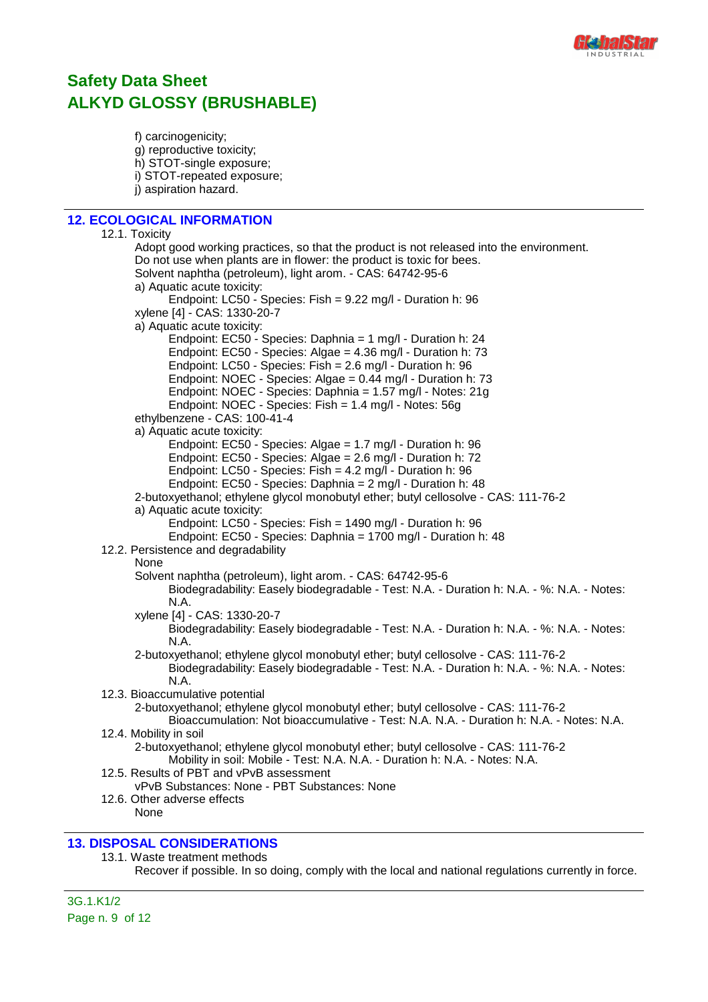

f) carcinogenicity; g) reproductive toxicity; h) STOT-single exposure; i) STOT-repeated exposure; j) aspiration hazard.

### **12. ECOLOGICAL INFORMATION**

12.1. Toxicity Adopt good working practices, so that the product is not released into the environment. Do not use when plants are in flower: the product is toxic for bees. Solvent naphtha (petroleum), light arom. - CAS: 64742-95-6 a) Aquatic acute toxicity: Endpoint: LC50 - Species: Fish = 9.22 mg/l - Duration h: 96 xylene [4] - CAS: 1330-20-7 a) Aquatic acute toxicity: Endpoint: EC50 - Species: Daphnia = 1 mg/l - Duration h: 24 Endpoint: EC50 - Species: Algae = 4.36 mg/l - Duration h: 73 Endpoint: LC50 - Species: Fish = 2.6 mg/l - Duration h: 96 Endpoint: NOEC - Species: Algae = 0.44 mg/l - Duration h: 73 Endpoint: NOEC - Species: Daphnia = 1.57 mg/l - Notes: 21g Endpoint: NOEC - Species: Fish = 1.4 mg/l - Notes: 56g ethylbenzene - CAS: 100-41-4 a) Aquatic acute toxicity: Endpoint: EC50 - Species: Algae = 1.7 mg/l - Duration h: 96 Endpoint: EC50 - Species: Algae = 2.6 mg/l - Duration h: 72 Endpoint: LC50 - Species: Fish = 4.2 mg/l - Duration h: 96 Endpoint: EC50 - Species: Daphnia = 2 mg/l - Duration h: 48 2-butoxyethanol; ethylene glycol monobutyl ether; butyl cellosolve - CAS: 111-76-2 a) Aquatic acute toxicity: Endpoint: LC50 - Species: Fish = 1490 mg/l - Duration h: 96 Endpoint: EC50 - Species: Daphnia = 1700 mg/l - Duration h: 48 12.2. Persistence and degradability None Solvent naphtha (petroleum), light arom. - CAS: 64742-95-6 Biodegradability: Easely biodegradable - Test: N.A. - Duration h: N.A. - %: N.A. - Notes: N.A. xylene [4] - CAS: 1330-20-7 Biodegradability: Easely biodegradable - Test: N.A. - Duration h: N.A. - %: N.A. - Notes: N.A. 2-butoxyethanol; ethylene glycol monobutyl ether; butyl cellosolve - CAS: 111-76-2 Biodegradability: Easely biodegradable - Test: N.A. - Duration h: N.A. - %: N.A. - Notes: N.A. 12.3. Bioaccumulative potential 2-butoxyethanol; ethylene glycol monobutyl ether; butyl cellosolve - CAS: 111-76-2 Bioaccumulation: Not bioaccumulative - Test: N.A. N.A. - Duration h: N.A. - Notes: N.A. 12.4. Mobility in soil 2-butoxyethanol; ethylene glycol monobutyl ether; butyl cellosolve - CAS: 111-76-2 Mobility in soil: Mobile - Test: N.A. N.A. - Duration h: N.A. - Notes: N.A. 12.5. Results of PBT and vPvB assessment vPvB Substances: None - PBT Substances: None 12.6. Other adverse effects None

### **13. DISPOSAL CONSIDERATIONS**

#### 13.1. Waste treatment methods

Recover if possible. In so doing, comply with the local and national regulations currently in force.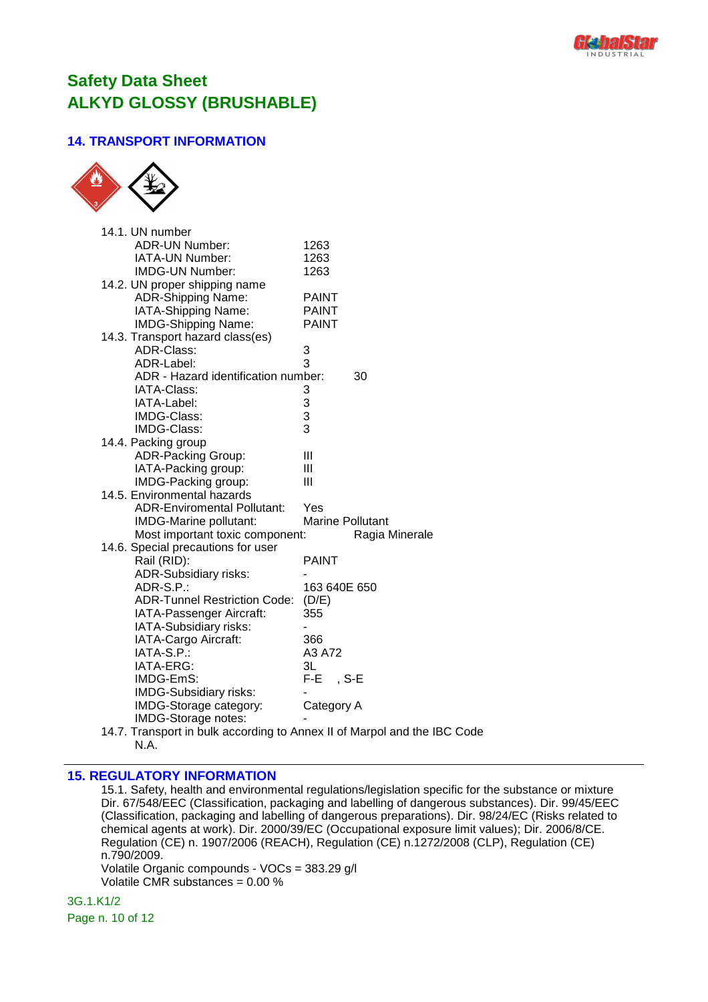

## **14. TRANSPORT INFORMATION**



| 14.1. UN number                                                          |                         |
|--------------------------------------------------------------------------|-------------------------|
| <b>ADR-UN Number:</b>                                                    | 1263                    |
| IATA-UN Number:                                                          | 1263                    |
| <b>IMDG-UN Number:</b>                                                   | 1263                    |
| 14.2. UN proper shipping name                                            |                         |
| <b>ADR-Shipping Name:</b>                                                | <b>PAINT</b>            |
| IATA-Shipping Name:                                                      | <b>PAINT</b>            |
| <b>IMDG-Shipping Name:</b>                                               | <b>PAINT</b>            |
| 14.3. Transport hazard class(es)                                         |                         |
| <b>ADR-Class:</b>                                                        | 3                       |
| ADR-Label:                                                               | 3                       |
| ADR - Hazard identification number:                                      | 30                      |
| IATA-Class:                                                              | 3                       |
| IATA-Label:                                                              |                         |
| IMDG-Class:                                                              | $\frac{3}{3}$           |
| IMDG-Class:                                                              | 3                       |
| 14.4. Packing group                                                      |                         |
| <b>ADR-Packing Group:</b>                                                | Ш                       |
| IATA-Packing group:                                                      | Ш                       |
| IMDG-Packing group:                                                      | Ш                       |
| 14.5. Environmental hazards                                              |                         |
| <b>ADR-Enviromental Pollutant:</b>                                       | Yes                     |
| IMDG-Marine pollutant:                                                   | <b>Marine Pollutant</b> |
| Most important toxic component:                                          | Ragia Minerale          |
| 14.6. Special precautions for user                                       |                         |
| Rail (RID):                                                              | <b>PAINT</b>            |
| <b>ADR-Subsidiary risks:</b>                                             |                         |
| ADR-S.P.:                                                                | 163 640E 650            |
| <b>ADR-Tunnel Restriction Code:</b>                                      | (D/E)                   |
| IATA-Passenger Aircraft:                                                 | 355                     |
| IATA-Subsidiary risks:                                                   |                         |
| IATA-Cargo Aircraft:                                                     | 366                     |
| IATA-S.P.:                                                               | A3 A72                  |
| IATA-ERG:                                                                | 3L                      |
| IMDG-EmS:                                                                | F-E.<br>, S-E           |
| IMDG-Subsidiary risks:                                                   |                         |
| IMDG-Storage category:                                                   | Category A              |
| IMDG-Storage notes:                                                      |                         |
| 14.7. Transport in bulk according to Annex II of Marpol and the IBC Code |                         |

N.A.

### **15. REGULATORY INFORMATION**

15.1. Safety, health and environmental regulations/legislation specific for the substance or mixture Dir. 67/548/EEC (Classification, packaging and labelling of dangerous substances). Dir. 99/45/EEC (Classification, packaging and labelling of dangerous preparations). Dir. 98/24/EC (Risks related to chemical agents at work). Dir. 2000/39/EC (Occupational exposure limit values); Dir. 2006/8/CE. Regulation (CE) n. 1907/2006 (REACH), Regulation (CE) n.1272/2008 (CLP), Regulation (CE) n.790/2009.

Volatile Organic compounds - VOCs = 383.29 g/l Volatile CMR substances =  $0.00\%$ 

3G.1.K1/2 Page n. 10 of 12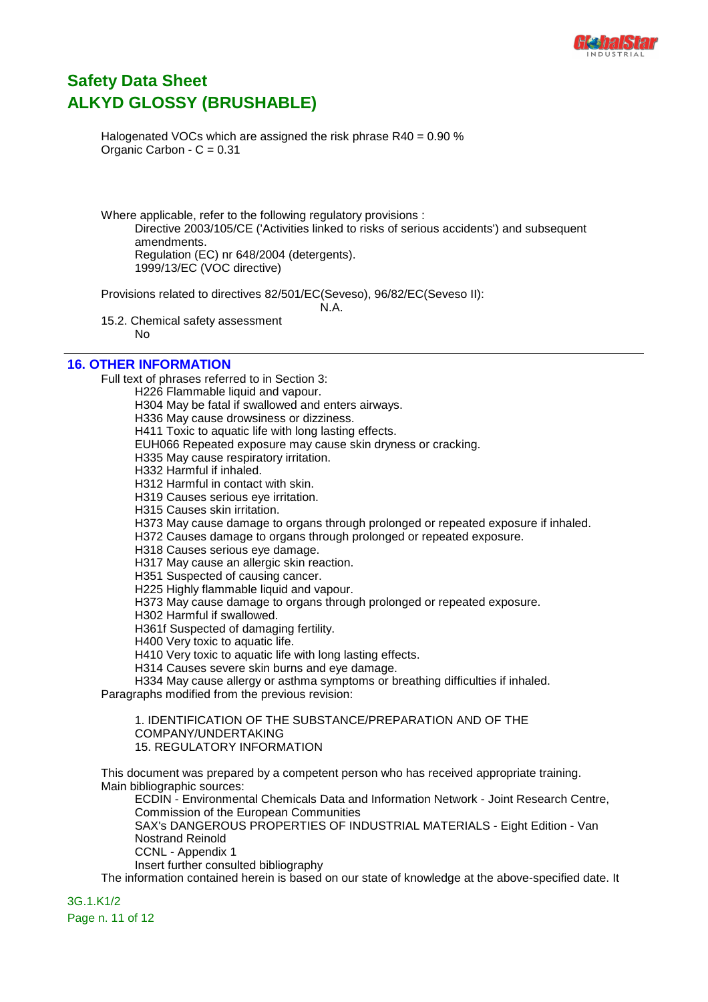

Halogenated VOCs which are assigned the risk phrase  $R40 = 0.90$  % Organic Carbon -  $C = 0.31$ 

Where applicable, refer to the following regulatory provisions : Directive 2003/105/CE ('Activities linked to risks of serious accidents') and subsequent amendments. Regulation (EC) nr 648/2004 (detergents). 1999/13/EC (VOC directive)

Provisions related to directives 82/501/EC(Seveso), 96/82/EC(Seveso II):

N.A.

15.2. Chemical safety assessment No

### **16. OTHER INFORMATION**

Full text of phrases referred to in Section 3:

H226 Flammable liquid and vapour. H304 May be fatal if swallowed and enters airways. H336 May cause drowsiness or dizziness. H411 Toxic to aquatic life with long lasting effects. EUH066 Repeated exposure may cause skin dryness or cracking. H335 May cause respiratory irritation. H332 Harmful if inhaled. H312 Harmful in contact with skin. H319 Causes serious eye irritation. H315 Causes skin irritation. H373 May cause damage to organs through prolonged or repeated exposure if inhaled. H372 Causes damage to organs through prolonged or repeated exposure. H318 Causes serious eye damage. H317 May cause an allergic skin reaction. H351 Suspected of causing cancer. H225 Highly flammable liquid and vapour. H373 May cause damage to organs through prolonged or repeated exposure. H302 Harmful if swallowed. H361f Suspected of damaging fertility. H400 Very toxic to aquatic life. H410 Very toxic to aquatic life with long lasting effects. H314 Causes severe skin burns and eye damage. H334 May cause allergy or asthma symptoms or breathing difficulties if inhaled. Paragraphs modified from the previous revision: 1. IDENTIFICATION OF THE SUBSTANCE/PREPARATION AND OF THE COMPANY/UNDERTAKING 15. REGULATORY INFORMATION

This document was prepared by a competent person who has received appropriate training. Main bibliographic sources:

ECDIN - Environmental Chemicals Data and Information Network - Joint Research Centre, Commission of the European Communities SAX's DANGEROUS PROPERTIES OF INDUSTRIAL MATERIALS - Eight Edition - Van Nostrand Reinold CCNL - Appendix 1 Insert further consulted bibliography

The information contained herein is based on our state of knowledge at the above-specified date. It

3G.1.K1/2 Page n. 11 of 12